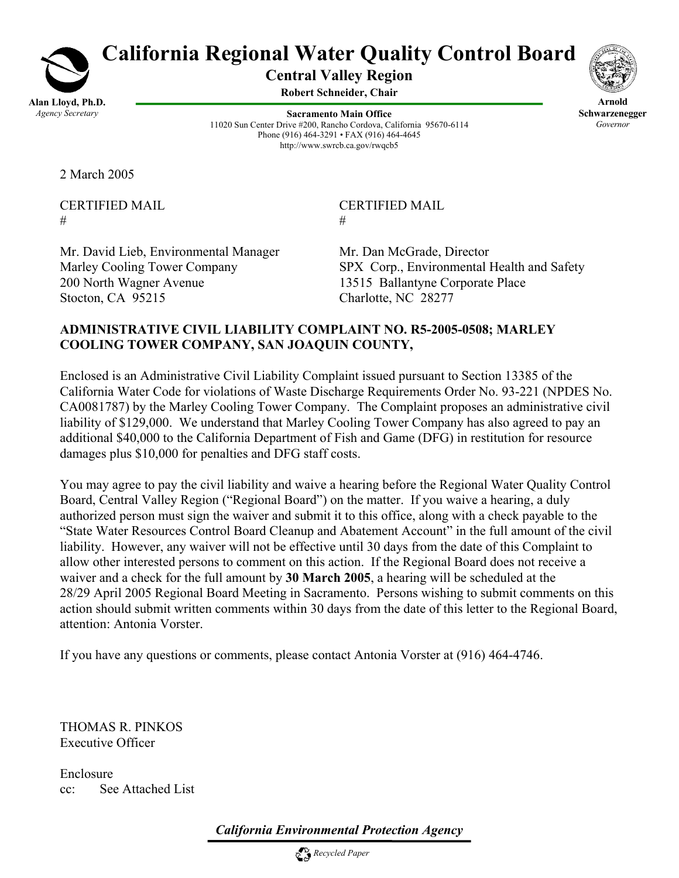

# **California Regional Water Quality Control Board**

**Central Valley Region** 

**Robert Schneider, Chair**

**Sacramento Main Office** 11020 Sun Center Drive #200, Rancho Cordova, California 95670-6114 Phone (916) 464-3291 • FAX (916) 464-4645 http://www.swrcb.ca.gov/rwqcb5



**Arnold Schwarzenegger** *Governor* 

2 March 2005

 $\#$   $\#$ 

CERTIFIED MAIL CERTIFIED MAIL

Mr. David Lieb, Environmental Manager Mr. Dan McGrade, Director 200 North Wagner Avenue 13515 Ballantyne Corporate Place Stocton, CA 95215 Charlotte, NC 28277

Marley Cooling Tower Company SPX Corp., Environmental Health and Safety

## **ADMINISTRATIVE CIVIL LIABILITY COMPLAINT NO. R5-2005-0508; MARLEY COOLING TOWER COMPANY, SAN JOAQUIN COUNTY,**

Enclosed is an Administrative Civil Liability Complaint issued pursuant to Section 13385 of the California Water Code for violations of Waste Discharge Requirements Order No. 93-221 (NPDES No. CA0081787) by the Marley Cooling Tower Company. The Complaint proposes an administrative civil liability of \$129,000. We understand that Marley Cooling Tower Company has also agreed to pay an additional \$40,000 to the California Department of Fish and Game (DFG) in restitution for resource damages plus \$10,000 for penalties and DFG staff costs.

You may agree to pay the civil liability and waive a hearing before the Regional Water Quality Control Board, Central Valley Region ("Regional Board") on the matter. If you waive a hearing, a duly authorized person must sign the waiver and submit it to this office, along with a check payable to the "State Water Resources Control Board Cleanup and Abatement Account" in the full amount of the civil liability. However, any waiver will not be effective until 30 days from the date of this Complaint to allow other interested persons to comment on this action. If the Regional Board does not receive a waiver and a check for the full amount by **30 March 2005**, a hearing will be scheduled at the 28/29 April 2005 Regional Board Meeting in Sacramento. Persons wishing to submit comments on this action should submit written comments within 30 days from the date of this letter to the Regional Board, attention: Antonia Vorster.

If you have any questions or comments, please contact Antonia Vorster at (916) 464-4746.

THOMAS R. PINKOS Executive Officer

Enclosure cc: See Attached List

*California Environmental Protection Agency*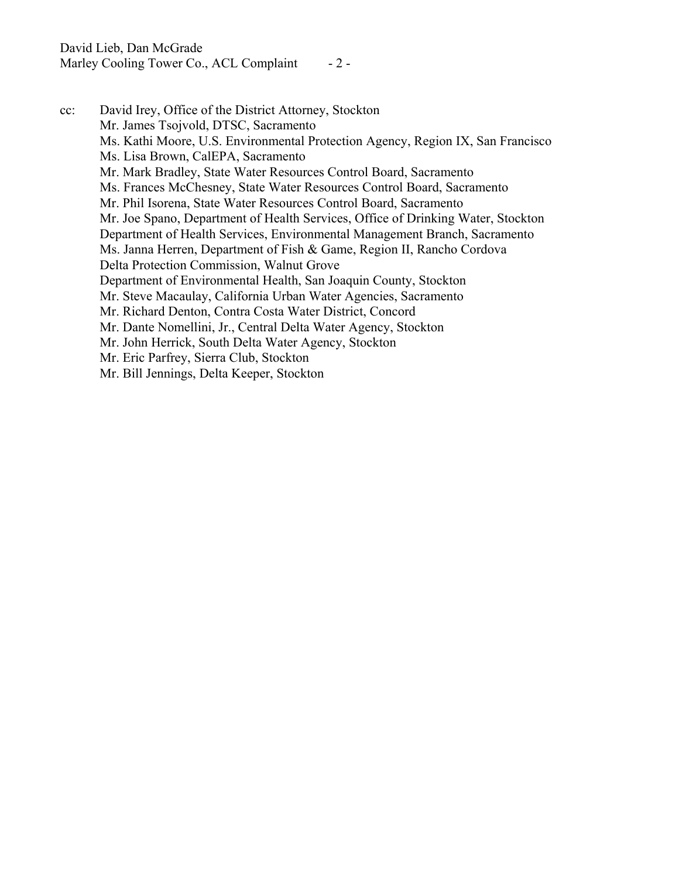Marley Cooling Tower Co., ACL Complaint - 2 -

cc: David Irey, Office of the District Attorney, Stockton Mr. James Tsojvold, DTSC, Sacramento Ms. Kathi Moore, U.S. Environmental Protection Agency, Region IX, San Francisco Ms. Lisa Brown, CalEPA, Sacramento Mr. Mark Bradley, State Water Resources Control Board, Sacramento Ms. Frances McChesney, State Water Resources Control Board, Sacramento Mr. Phil Isorena, State Water Resources Control Board, Sacramento Mr. Joe Spano, Department of Health Services, Office of Drinking Water, Stockton Department of Health Services, Environmental Management Branch, Sacramento Ms. Janna Herren, Department of Fish & Game, Region II, Rancho Cordova Delta Protection Commission, Walnut Grove Department of Environmental Health, San Joaquin County, Stockton Mr. Steve Macaulay, California Urban Water Agencies, Sacramento Mr. Richard Denton, Contra Costa Water District, Concord Mr. Dante Nomellini, Jr., Central Delta Water Agency, Stockton Mr. John Herrick, South Delta Water Agency, Stockton Mr. Eric Parfrey, Sierra Club, Stockton Mr. Bill Jennings, Delta Keeper, Stockton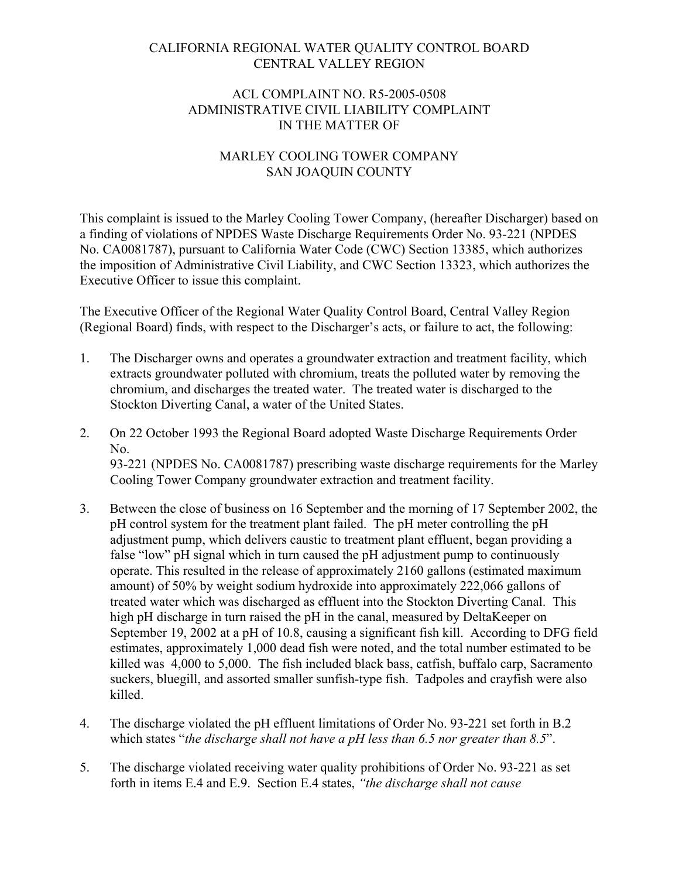## CALIFORNIA REGIONAL WATER QUALITY CONTROL BOARD CENTRAL VALLEY REGION

### ACL COMPLAINT NO. R5-2005-0508 ADMINISTRATIVE CIVIL LIABILITY COMPLAINT IN THE MATTER OF

## MARLEY COOLING TOWER COMPANY SAN JOAQUIN COUNTY

This complaint is issued to the Marley Cooling Tower Company, (hereafter Discharger) based on a finding of violations of NPDES Waste Discharge Requirements Order No. 93-221 (NPDES No. CA0081787), pursuant to California Water Code (CWC) Section 13385, which authorizes the imposition of Administrative Civil Liability, and CWC Section 13323, which authorizes the Executive Officer to issue this complaint.

The Executive Officer of the Regional Water Quality Control Board, Central Valley Region (Regional Board) finds, with respect to the Discharger's acts, or failure to act, the following:

- 1. The Discharger owns and operates a groundwater extraction and treatment facility, which extracts groundwater polluted with chromium, treats the polluted water by removing the chromium, and discharges the treated water. The treated water is discharged to the Stockton Diverting Canal, a water of the United States.
- 2. On 22 October 1993 the Regional Board adopted Waste Discharge Requirements Order No. 93-221 (NPDES No. CA0081787) prescribing waste discharge requirements for the Marley Cooling Tower Company groundwater extraction and treatment facility.
- 3. Between the close of business on 16 September and the morning of 17 September 2002, the pH control system for the treatment plant failed. The pH meter controlling the pH adjustment pump, which delivers caustic to treatment plant effluent, began providing a false "low" pH signal which in turn caused the pH adjustment pump to continuously operate. This resulted in the release of approximately 2160 gallons (estimated maximum amount) of 50% by weight sodium hydroxide into approximately 222,066 gallons of treated water which was discharged as effluent into the Stockton Diverting Canal. This high pH discharge in turn raised the pH in the canal, measured by DeltaKeeper on September 19, 2002 at a pH of 10.8, causing a significant fish kill. According to DFG field estimates, approximately 1,000 dead fish were noted, and the total number estimated to be killed was 4,000 to 5,000. The fish included black bass, catfish, buffalo carp, Sacramento suckers, bluegill, and assorted smaller sunfish-type fish. Tadpoles and crayfish were also killed.
- 4. The discharge violated the pH effluent limitations of Order No. 93-221 set forth in B.2 which states "*the discharge shall not have a pH less than 6.5 nor greater than 8.5*".
- 5. The discharge violated receiving water quality prohibitions of Order No. 93-221 as set forth in items E.4 and E.9. Section E.4 states, *"the discharge shall not cause*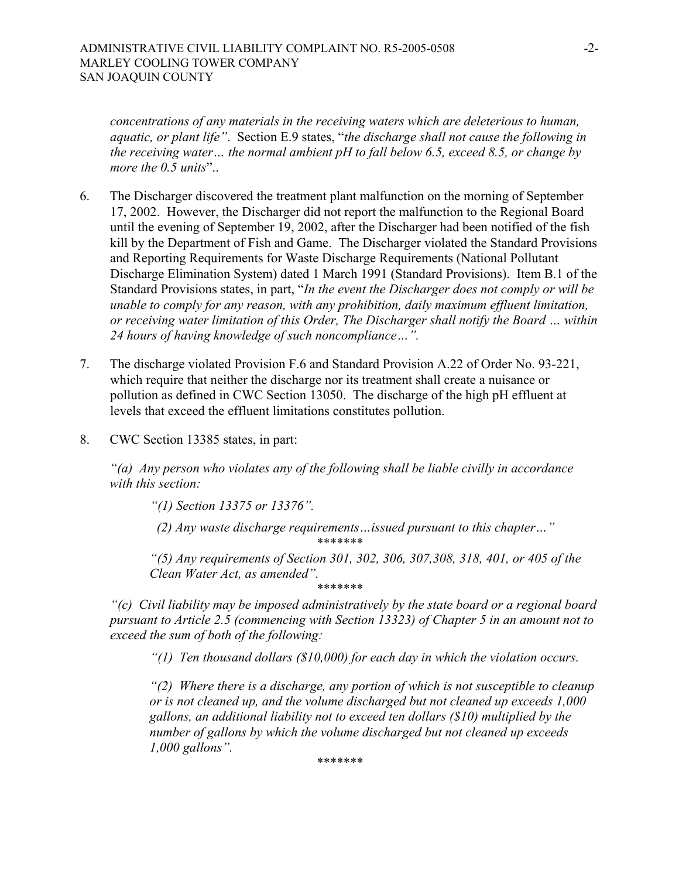*concentrations of any materials in the receiving waters which are deleterious to human, aquatic, or plant life"*. Section E.9 states, "*the discharge shall not cause the following in the receiving water… the normal ambient pH to fall below 6.5, exceed 8.5, or change by more the 0.5 units*"..

- 6. The Discharger discovered the treatment plant malfunction on the morning of September 17, 2002. However, the Discharger did not report the malfunction to the Regional Board until the evening of September 19, 2002, after the Discharger had been notified of the fish kill by the Department of Fish and Game. The Discharger violated the Standard Provisions and Reporting Requirements for Waste Discharge Requirements (National Pollutant Discharge Elimination System) dated 1 March 1991 (Standard Provisions). Item B.1 of the Standard Provisions states, in part, "*In the event the Discharger does not comply or will be unable to comply for any reason, with any prohibition, daily maximum effluent limitation, or receiving water limitation of this Order, The Discharger shall notify the Board … within 24 hours of having knowledge of such noncompliance…".*
- 7. The discharge violated Provision F.6 and Standard Provision A.22 of Order No. 93-221, which require that neither the discharge nor its treatment shall create a nuisance or pollution as defined in CWC Section 13050. The discharge of the high pH effluent at levels that exceed the effluent limitations constitutes pollution.
- 8. CWC Section 13385 states, in part:

*"(a) Any person who violates any of the following shall be liable civilly in accordance with this section:* 

*"(1) Section 13375 or 13376".* 

 *(2) Any waste discharge requirements…issued pursuant to this chapter…" \*\*\*\*\*\*\** 

*"(5) Any requirements of Section 301, 302, 306, 307,308, 318, 401, or 405 of the Clean Water Act, as amended".*

*\*\*\*\*\*\*\** 

*"(c) Civil liability may be imposed administratively by the state board or a regional board pursuant to Article 2.5 (commencing with Section 13323) of Chapter 5 in an amount not to exceed the sum of both of the following:* 

*"(1) Ten thousand dollars (\$10,000) for each day in which the violation occurs.* 

*"(2) Where there is a discharge, any portion of which is not susceptible to cleanup or is not cleaned up, and the volume discharged but not cleaned up exceeds 1,000 gallons, an additional liability not to exceed ten dollars (\$10) multiplied by the number of gallons by which the volume discharged but not cleaned up exceeds 1,000 gallons".* 

*\*\*\*\*\*\*\**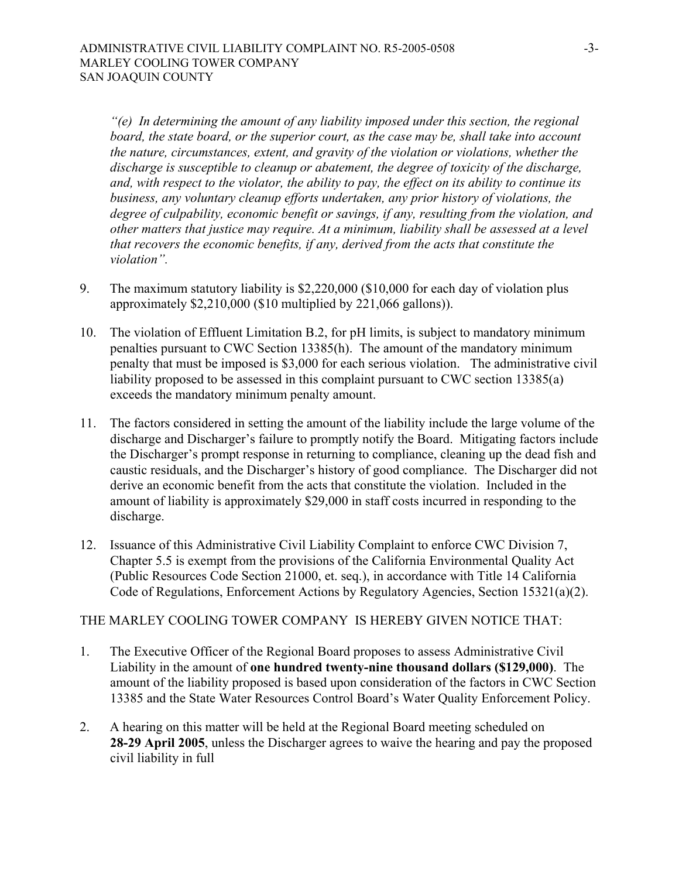*"(e) In determining the amount of any liability imposed under this section, the regional board, the state board, or the superior court, as the case may be, shall take into account the nature, circumstances, extent, and gravity of the violation or violations, whether the discharge is susceptible to cleanup or abatement, the degree of toxicity of the discharge, and, with respect to the violator, the ability to pay, the effect on its ability to continue its business, any voluntary cleanup efforts undertaken, any prior history of violations, the degree of culpability, economic benefit or savings, if any, resulting from the violation, and other matters that justice may require. At a minimum, liability shall be assessed at a level that recovers the economic benefits, if any, derived from the acts that constitute the violation".* 

- 9. The maximum statutory liability is \$2,220,000 (\$10,000 for each day of violation plus approximately \$2,210,000 (\$10 multiplied by 221,066 gallons)).
- 10. The violation of Effluent Limitation B.2, for pH limits, is subject to mandatory minimum penalties pursuant to CWC Section 13385(h). The amount of the mandatory minimum penalty that must be imposed is \$3,000 for each serious violation. The administrative civil liability proposed to be assessed in this complaint pursuant to CWC section 13385(a) exceeds the mandatory minimum penalty amount.
- 11. The factors considered in setting the amount of the liability include the large volume of the discharge and Discharger's failure to promptly notify the Board. Mitigating factors include the Discharger's prompt response in returning to compliance, cleaning up the dead fish and caustic residuals, and the Discharger's history of good compliance. The Discharger did not derive an economic benefit from the acts that constitute the violation. Included in the amount of liability is approximately \$29,000 in staff costs incurred in responding to the discharge.
- 12. Issuance of this Administrative Civil Liability Complaint to enforce CWC Division 7, Chapter 5.5 is exempt from the provisions of the California Environmental Quality Act (Public Resources Code Section 21000, et. seq.), in accordance with Title 14 California Code of Regulations, Enforcement Actions by Regulatory Agencies, Section 15321(a)(2).

#### THE MARLEY COOLING TOWER COMPANY IS HEREBY GIVEN NOTICE THAT:

- 1. The Executive Officer of the Regional Board proposes to assess Administrative Civil Liability in the amount of **one hundred twenty-nine thousand dollars (\$129,000)**. The amount of the liability proposed is based upon consideration of the factors in CWC Section 13385 and the State Water Resources Control Board's Water Quality Enforcement Policy.
- 2. A hearing on this matter will be held at the Regional Board meeting scheduled on **28-29 April 2005**, unless the Discharger agrees to waive the hearing and pay the proposed civil liability in full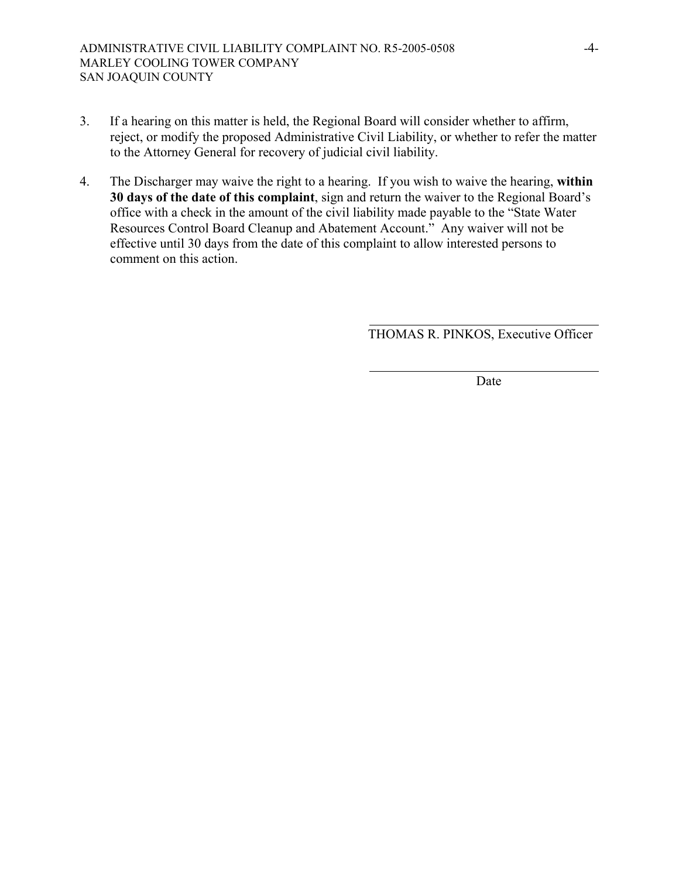- 3. If a hearing on this matter is held, the Regional Board will consider whether to affirm, reject, or modify the proposed Administrative Civil Liability, or whether to refer the matter to the Attorney General for recovery of judicial civil liability.
- 4. The Discharger may waive the right to a hearing. If you wish to waive the hearing, **within 30 days of the date of this complaint**, sign and return the waiver to the Regional Board's office with a check in the amount of the civil liability made payable to the "State Water Resources Control Board Cleanup and Abatement Account." Any waiver will not be effective until 30 days from the date of this complaint to allow interested persons to comment on this action.

THOMAS R. PINKOS, Executive Officer

Date **Date**